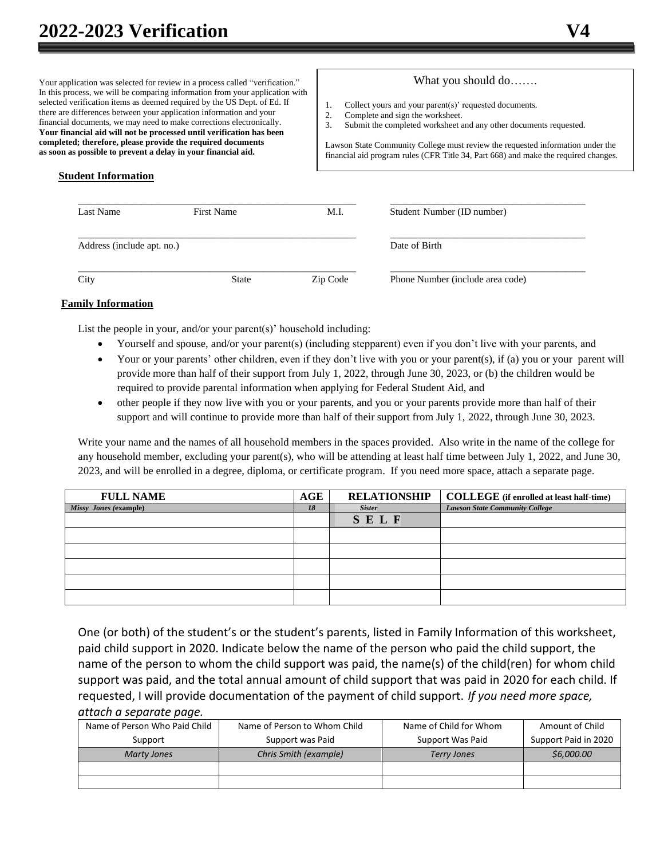Your application was selected for review in a process called "verification." In this process, we will be comparing information from your application with selected verification items as deemed required by the US Dept. of Ed. If there are differences between your application information and your financial documents, we may need to make corrections electronically. **Your financial aid will not be processed until verification has been completed; therefore, please provide the required documents as soon as possible to prevent a delay in your financial aid.**

### What you should do…….

- 1. Collect yours and your parent(s)' requested documents.<br>2. Complete and sign the worksheet.
- Complete and sign the worksheet.
- 3. Submit the completed worksheet and any other documents requested.

Lawson State Community College must review the requested information under the financial aid program rules (CFR Title 34, Part 668) and make the required changes.

### **Student Information**

| Last Name                  | First Name   | M.I.     | Student Number (ID number)       |
|----------------------------|--------------|----------|----------------------------------|
| Address (include apt. no.) |              |          | Date of Birth                    |
| City                       | <b>State</b> | Zip Code | Phone Number (include area code) |

### **Family Information**

List the people in your, and/or your parent(s)' household including:

- Yourself and spouse, and/or your parent(s) (including stepparent) even if you don't live with your parents, and
- Your or your parents' other children, even if they don't live with you or your parent(s), if (a) you or your parent will provide more than half of their support from July 1, 2022, through June 30, 2023, or (b) the children would be required to provide parental information when applying for Federal Student Aid, and
- other people if they now live with you or your parents, and you or your parents provide more than half of their support and will continue to provide more than half of their support from July 1, 2022, through June 30, 2023.

Write your name and the names of all household members in the spaces provided. Also write in the name of the college for any household member, excluding your parent(s), who will be attending at least half time between July 1, 2022, and June 30, 2023, and will be enrolled in a degree, diploma, or certificate program. If you need more space, attach a separate page.

| <b>FULL NAME</b>      | AGE | <b>RELATIONSHIP</b> | <b>COLLEGE</b> (if enrolled at least half-time) |
|-----------------------|-----|---------------------|-------------------------------------------------|
| Missy Jones (example) | 18  | <b>Sister</b>       | <b>Lawson State Community College</b>           |
|                       |     | SELF                |                                                 |
|                       |     |                     |                                                 |
|                       |     |                     |                                                 |
|                       |     |                     |                                                 |
|                       |     |                     |                                                 |
|                       |     |                     |                                                 |

One (or both) of the student's or the student's parents, listed in Family Information of this worksheet, paid child support in 2020. Indicate below the name of the person who paid the child support, the name of the person to whom the child support was paid, the name(s) of the child(ren) for whom child support was paid, and the total annual amount of child support that was paid in 2020 for each child. If requested, I will provide documentation of the payment of child support. *If you need more space, attach a separate page.*

| Name of Person Who Paid Child | Name of Person to Whom Child | Name of Child for Whom | Amount of Child      |
|-------------------------------|------------------------------|------------------------|----------------------|
| Support                       | Support was Paid             | Support Was Paid       | Support Paid in 2020 |
| <b>Marty Jones</b>            | Chris Smith (example)        | <b>Terry Jones</b>     | \$6,000.00           |
|                               |                              |                        |                      |
|                               |                              |                        |                      |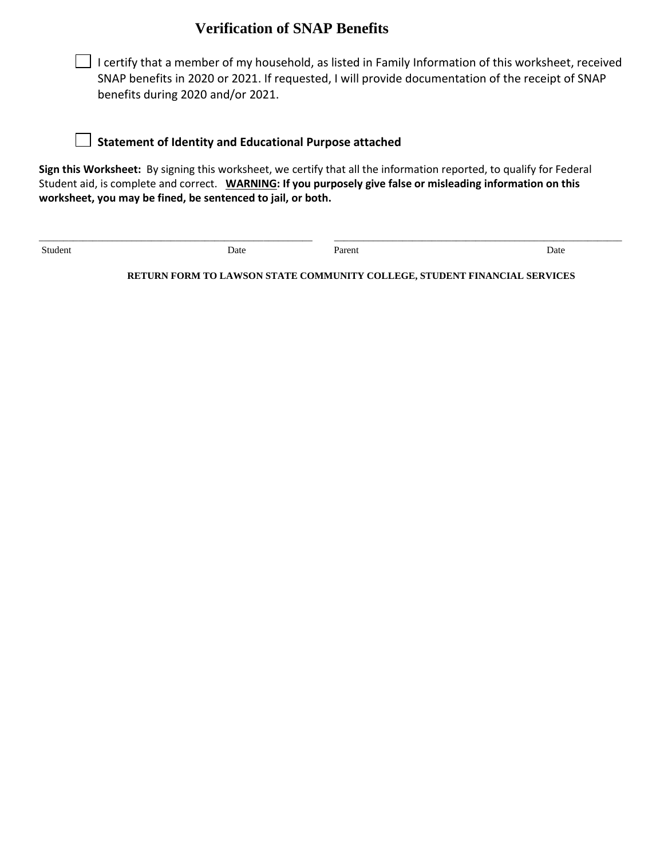## **Verification of SNAP Benefits**



### **Statement of Identity and Educational Purpose attached**

**Sign this Worksheet:** By signing this worksheet, we certify that all the information reported, to qualify for Federal Student aid, is complete and correct. **WARNING: If you purposely give false or misleading information on this worksheet, you may be fined, be sentenced to jail, or both.**

Student Date Date Parent Date Parent Date Date Parent Date

\_\_\_\_\_\_\_\_\_\_\_\_\_\_\_\_\_\_\_\_\_\_\_\_\_\_\_\_\_\_\_\_\_\_\_\_\_\_\_\_\_\_\_\_\_\_\_\_\_\_\_\_\_\_\_\_ \_\_\_\_\_\_\_\_\_\_\_\_\_\_\_\_\_\_\_\_\_\_\_\_\_\_\_\_\_\_\_\_\_\_\_\_\_\_\_\_\_\_\_\_\_\_\_\_\_\_\_\_\_\_\_\_\_\_\_

**RETURN FORM TO LAWSON STATE COMMUNITY COLLEGE, STUDENT FINANCIAL SERVICES**